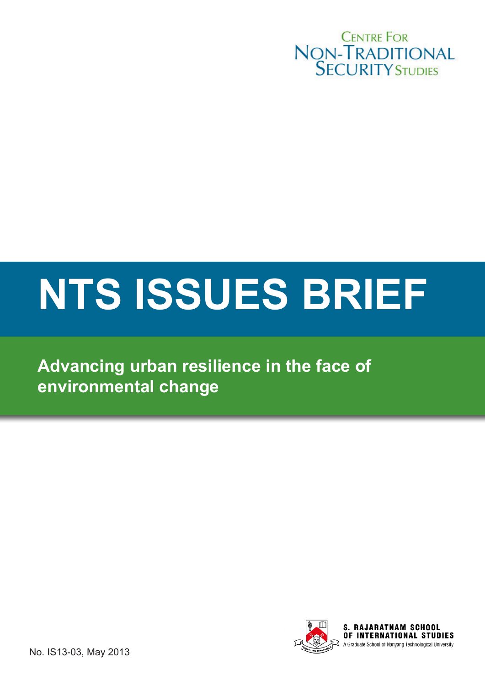

# **NTS ISSUES BRIEF**

**Advancing urban resilience in the face of environmental change**



No. IS13-03, May 2013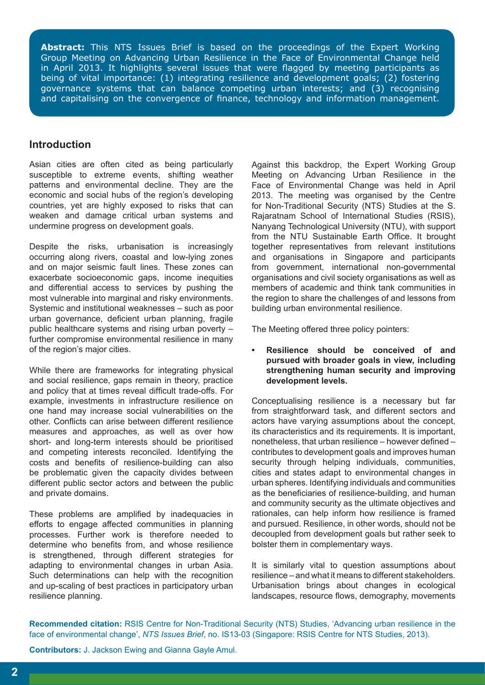**Abstract:** This NTS Issues Brief is based on the proceedings of the Expert Working Group Meeting on Advancing Urban Resilience in the Face of Environmental Change held in April 2013. It highlights several issues that were flagged by meeting participants as being of vital importance: (1) integrating resilience and development goals; (2) fostering governance systems that can balance competing urban interests; and (3) recognising and capitalising on the convergence of finance, technology and information management.

#### **Introduction**

Asian cities are often cited as being particularly susceptible to extreme events, shifting weather patterns and environmental decline. They are the economic and social hubs of the region's developing countries, yet are highly exposed to risks that can weaken and damage critical urban systems and undermine progress on development goals.

Despite the risks, urbanisation is increasingly occurring along rivers, coastal and low-lying zones and on major seismic fault lines. These zones can exacerbate socioeconomic gaps, income inequities and differential access to services by pushing the most vulnerable into marginal and risky environments. Systemic and institutional weaknesses – such as poor urban governance, deficient urban planning, fragile public healthcare systems and rising urban poverty – further compromise environmental resilience in many of the region's major cities.

While there are frameworks for integrating physical and social resilience, gaps remain in theory, practice and policy that at times reveal difficult trade-offs. For example, investments in infrastructure resilience on one hand may increase social vulnerabilities on the other. Conflicts can arise between different resilience measures and approaches, as well as over how short- and long-term interests should be prioritised and competing interests reconciled. Identifying the costs and benefits of resilience-building can also be problematic given the capacity divides between different public sector actors and between the public and private domains.

These problems are amplified by inadequacies in efforts to engage affected communities in planning processes. Further work is therefore needed to determine who benefits from, and whose resilience is strengthened, through different strategies for adapting to environmental changes in urban Asia. Such determinations can help with the recognition and up-scaling of best practices in participatory urban resilience planning.

Against this backdrop, the Expert Working Group Meeting on Advancing Urban Resilience in the Face of Environmental Change was held in April 2013. The meeting was organised by the Centre for Non-Traditional Security (NTS) Studies at the S. Rajaratnam School of International Studies (RSIS), Nanyang Technological University (NTU), with support from the NTU Sustainable Earth Office. It brought together representatives from relevant institutions and organisations in Singapore and participants from government, international non-governmental organisations and civil society organisations as well as members of academic and think tank communities in the region to share the challenges of and lessons from building urban environmental resilience.

The Meeting offered three policy pointers:

**Resilience should be conceived of and pursued with broader goals in view, including strengthening human security and improving development levels.**

Conceptualising resilience is a necessary but far from straightforward task, and different sectors and actors have varying assumptions about the concept, its characteristics and its requirements. It is important, nonetheless, that urban resilience – however defined – contributes to development goals and improves human security through helping individuals, communities, cities and states adapt to environmental changes in urban spheres. Identifying individuals and communities as the beneficiaries of resilience-building, and human and community security as the ultimate objectives and rationales, can help inform how resilience is framed and pursued. Resilience, in other words, should not be decoupled from development goals but rather seek to bolster them in complementary ways.

It is similarly vital to question assumptions about resilience – and what it means to different stakeholders. Urbanisation brings about changes in ecological landscapes, resource flows, demography, movements

**Recommended citation:** RSIS Centre for Non-Traditional Security (NTS) Studies, 'Advancing urban resilience in the face of environmental change', *NTS Issues Brief*, no. IS13-03 (Singapore: RSIS Centre for NTS Studies, 2013).

**Contributors:** J. Jackson Ewing and Gianna Gayle Amul.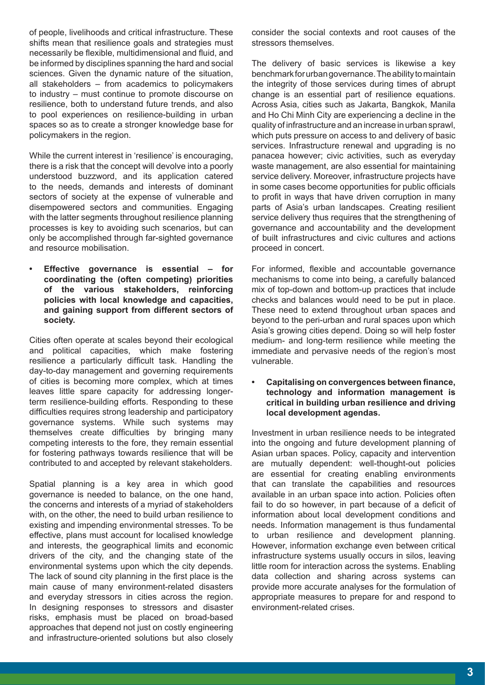of people, livelihoods and critical infrastructure. These shifts mean that resilience goals and strategies must necessarily be flexible, multidimensional and fluid, and be informed by disciplines spanning the hard and social sciences. Given the dynamic nature of the situation, all stakeholders – from academics to policymakers to industry – must continue to promote discourse on resilience, both to understand future trends, and also to pool experiences on resilience-building in urban spaces so as to create a stronger knowledge base for policymakers in the region.

While the current interest in 'resilience' is encouraging, there is a risk that the concept will devolve into a poorly understood buzzword, and its application catered to the needs, demands and interests of dominant sectors of society at the expense of vulnerable and disempowered sectors and communities. Engaging with the latter segments throughout resilience planning processes is key to avoiding such scenarios, but can only be accomplished through far-sighted governance and resource mobilisation.

**Effective governance is essential – for coordinating the (often competing) priorities of the various stakeholders, reinforcing policies with local knowledge and capacities, and gaining support from different sectors of society.** 

Cities often operate at scales beyond their ecological and political capacities, which make fostering resilience a particularly difficult task. Handling the day-to-day management and governing requirements of cities is becoming more complex, which at times leaves little spare capacity for addressing longerterm resilience-building efforts. Responding to these difficulties requires strong leadership and participatory governance systems. While such systems may themselves create difficulties by bringing many competing interests to the fore, they remain essential for fostering pathways towards resilience that will be contributed to and accepted by relevant stakeholders.

Spatial planning is a key area in which good governance is needed to balance, on the one hand, the concerns and interests of a myriad of stakeholders with, on the other, the need to build urban resilience to existing and impending environmental stresses. To be effective, plans must account for localised knowledge and interests, the geographical limits and economic drivers of the city, and the changing state of the environmental systems upon which the city depends. The lack of sound city planning in the first place is the main cause of many environment-related disasters and everyday stressors in cities across the region. In designing responses to stressors and disaster risks, emphasis must be placed on broad-based approaches that depend not just on costly engineering and infrastructure-oriented solutions but also closely consider the social contexts and root causes of the stressors themselves.

The delivery of basic services is likewise a key benchmark for urban governance. The ability to maintain the integrity of those services during times of abrupt change is an essential part of resilience equations. Across Asia, cities such as Jakarta, Bangkok, Manila and Ho Chi Minh City are experiencing a decline in the quality of infrastructure and an increase in urban sprawl, which puts pressure on access to and delivery of basic services. Infrastructure renewal and upgrading is no panacea however; civic activities, such as everyday waste management, are also essential for maintaining service delivery. Moreover, infrastructure projects have in some cases become opportunities for public officials to profit in ways that have driven corruption in many parts of Asia's urban landscapes. Creating resilient service delivery thus requires that the strengthening of governance and accountability and the development of built infrastructures and civic cultures and actions proceed in concert.

For informed, flexible and accountable governance mechanisms to come into being, a carefully balanced mix of top-down and bottom-up practices that include checks and balances would need to be put in place. These need to extend throughout urban spaces and beyond to the peri-urban and rural spaces upon which Asia's growing cities depend. Doing so will help foster medium- and long-term resilience while meeting the immediate and pervasive needs of the region's most vulnerable.

**• Capitalising on convergences between finance, technology and information management is critical in building urban resilience and driving local development agendas.**

Investment in urban resilience needs to be integrated into the ongoing and future development planning of Asian urban spaces. Policy, capacity and intervention are mutually dependent: well-thought-out policies are essential for creating enabling environments that can translate the capabilities and resources available in an urban space into action. Policies often fail to do so however, in part because of a deficit of information about local development conditions and needs. Information management is thus fundamental to urban resilience and development planning. However, information exchange even between critical infrastructure systems usually occurs in silos, leaving little room for interaction across the systems. Enabling data collection and sharing across systems can provide more accurate analyses for the formulation of appropriate measures to prepare for and respond to environment-related crises.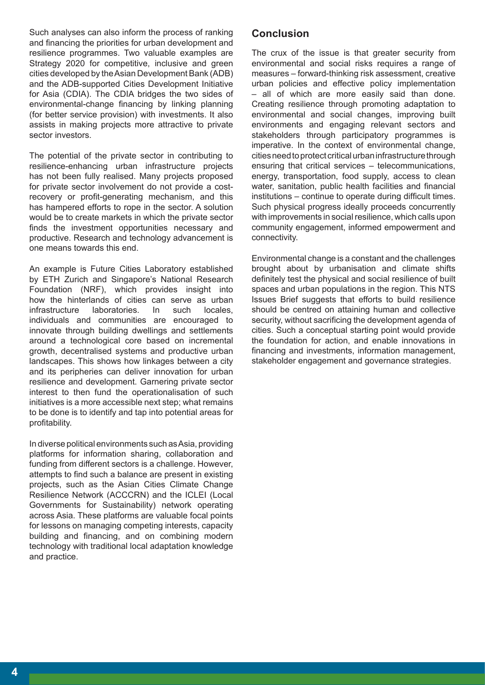Such analyses can also inform the process of ranking and financing the priorities for urban development and resilience programmes. Two valuable examples are Strategy 2020 for competitive, inclusive and green cities developed by the Asian Development Bank (ADB) and the ADB-supported Cities Development Initiative for Asia (CDIA). The CDIA bridges the two sides of environmental-change financing by linking planning (for better service provision) with investments. It also assists in making projects more attractive to private sector investors.

The potential of the private sector in contributing to resilience-enhancing urban infrastructure projects has not been fully realised. Many projects proposed for private sector involvement do not provide a costrecovery or profit-generating mechanism, and this has hampered efforts to rope in the sector. A solution would be to create markets in which the private sector finds the investment opportunities necessary and productive. Research and technology advancement is one means towards this end.

An example is Future Cities Laboratory established by ETH Zurich and Singapore's National Research Foundation (NRF), which provides insight into how the hinterlands of cities can serve as urban infrastructure laboratories. In such locales, individuals and communities are encouraged to innovate through building dwellings and settlements around a technological core based on incremental growth, decentralised systems and productive urban landscapes. This shows how linkages between a city and its peripheries can deliver innovation for urban resilience and development. Garnering private sector interest to then fund the operationalisation of such initiatives is a more accessible next step; what remains to be done is to identify and tap into potential areas for profitability.

In diverse political environments such as Asia, providing platforms for information sharing, collaboration and funding from different sectors is a challenge. However, attempts to find such a balance are present in existing projects, such as the Asian Cities Climate Change Resilience Network (ACCCRN) and the ICLEI (Local Governments for Sustainability) network operating across Asia. These platforms are valuable focal points for lessons on managing competing interests, capacity building and financing, and on combining modern technology with traditional local adaptation knowledge and practice.

## **Conclusion**

The crux of the issue is that greater security from environmental and social risks requires a range of measures – forward-thinking risk assessment, creative urban policies and effective policy implementation – all of which are more easily said than done. Creating resilience through promoting adaptation to environmental and social changes, improving built environments and engaging relevant sectors and stakeholders through participatory programmes is imperative. In the context of environmental change, cities need to protect critical urban infrastructure through ensuring that critical services – telecommunications, energy, transportation, food supply, access to clean water, sanitation, public health facilities and financial institutions – continue to operate during difficult times. Such physical progress ideally proceeds concurrently with improvements in social resilience, which calls upon community engagement, informed empowerment and connectivity.

Environmental change is a constant and the challenges brought about by urbanisation and climate shifts definitely test the physical and social resilience of built spaces and urban populations in the region. This NTS Issues Brief suggests that efforts to build resilience should be centred on attaining human and collective security, without sacrificing the development agenda of cities. Such a conceptual starting point would provide the foundation for action, and enable innovations in financing and investments, information management, stakeholder engagement and governance strategies.